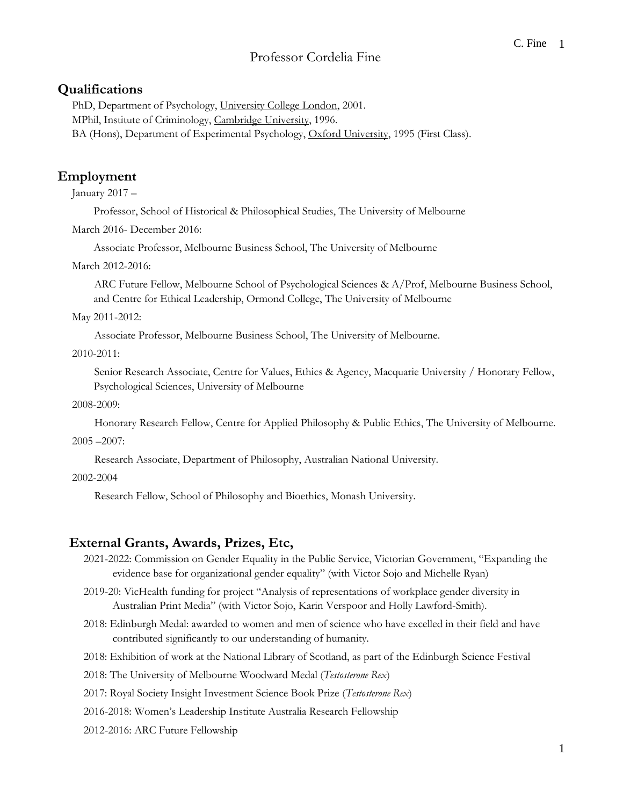# Professor Cordelia Fine

# **Qualifications**

PhD, Department of Psychology, University College London, 2001. MPhil, Institute of Criminology, Cambridge University, 1996. BA (Hons), Department of Experimental Psychology, Oxford University, 1995 (First Class).

# **Employment**

January 2017 –

Professor, School of Historical & Philosophical Studies, The University of Melbourne

March 2016- December 2016:

Associate Professor, Melbourne Business School, The University of Melbourne

March 2012-2016:

ARC Future Fellow, Melbourne School of Psychological Sciences & A/Prof, Melbourne Business School, and Centre for Ethical Leadership, Ormond College, The University of Melbourne

May 2011-2012:

Associate Professor, Melbourne Business School, The University of Melbourne.

2010-2011:

Senior Research Associate, Centre for Values, Ethics & Agency, Macquarie University / Honorary Fellow, Psychological Sciences, University of Melbourne

2008-2009:

Honorary Research Fellow, Centre for Applied Philosophy & Public Ethics, The University of Melbourne.

2005 –2007:

Research Associate, Department of Philosophy, Australian National University.

2002-2004

Research Fellow, School of Philosophy and Bioethics, Monash University.

# **External Grants, Awards, Prizes, Etc,**

- 2021-2022: Commission on Gender Equality in the Public Service, Victorian Government, "Expanding the evidence base for organizational gender equality" (with Victor Sojo and Michelle Ryan)
- 2019-20: VicHealth funding for project "Analysis of representations of workplace gender diversity in Australian Print Media" (with Victor Sojo, Karin Verspoor and Holly Lawford-Smith).
- 2018: Edinburgh Medal: awarded to women and men of science who have excelled in their field and have contributed significantly to our understanding of humanity.
- 2018: Exhibition of work at the National Library of Scotland, as part of the Edinburgh Science Festival
- 2018: The University of Melbourne Woodward Medal (*Testosterone Rex*)
- 2017: Royal Society Insight Investment Science Book Prize (*Testosterone Rex*)
- 2016-2018: Women's Leadership Institute Australia Research Fellowship
- 2012-2016: ARC Future Fellowship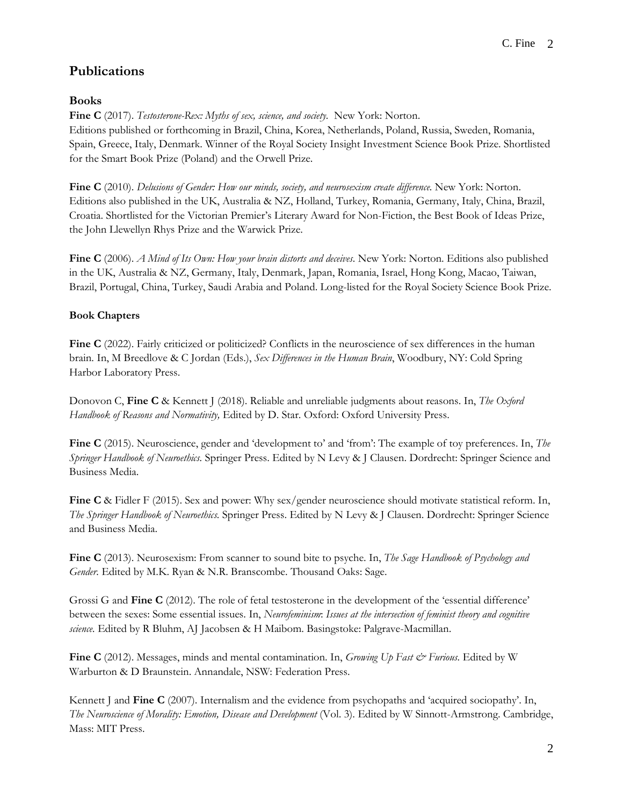# **Publications**

# **Books**

**Fine C** (2017). *Testosterone-Rex: Myths of sex, science, and society.* New York: Norton. Editions published or forthcoming in Brazil, China, Korea, Netherlands, Poland, Russia, Sweden, Romania, Spain, Greece, Italy, Denmark. Winner of the Royal Society Insight Investment Science Book Prize. Shortlisted for the Smart Book Prize (Poland) and the Orwell Prize.

**Fine C** (2010). *Delusions of Gender: How our minds, society, and neurosexism create difference.* New York: Norton. Editions also published in the UK, Australia & NZ, Holland, Turkey, Romania, Germany, Italy, China, Brazil, Croatia. Shortlisted for the Victorian Premier's Literary Award for Non-Fiction, the Best Book of Ideas Prize, the John Llewellyn Rhys Prize and the Warwick Prize.

**Fine C** (2006). *A Mind of Its Own: How your brain distorts and deceives.* New York: Norton. Editions also published in the UK, Australia & NZ, Germany, Italy, Denmark, Japan, Romania, Israel, Hong Kong, Macao, Taiwan, Brazil, Portugal, China, Turkey, Saudi Arabia and Poland. Long-listed for the Royal Society Science Book Prize.

# **Book Chapters**

**Fine C** (2022). Fairly criticized or politicized? Conflicts in the neuroscience of sex differences in the human brain. In, M Breedlove & C Jordan (Eds.), *Sex Differences in the Human Brain*, Woodbury, NY: Cold Spring Harbor Laboratory Press.

Donovon C, **Fine C** & Kennett J (2018). Reliable and unreliable judgments about reasons. In, *The Oxford Handbook of Reasons and Normativity,* Edited by D. Star. Oxford: Oxford University Press.

**Fine C** (2015). Neuroscience, gender and 'development to' and 'from': The example of toy preferences. In, *The Springer Handbook of Neuroethics.* Springer Press. Edited by N Levy & J Clausen. Dordrecht: Springer Science and Business Media.

**Fine C** & Fidler F (2015). Sex and power: Why sex/gender neuroscience should motivate statistical reform. In, *The Springer Handbook of Neuroethics.* Springer Press. Edited by N Levy & J Clausen. Dordrecht: Springer Science and Business Media.

**Fine C** (2013). Neurosexism: From scanner to sound bite to psyche. In, *The Sage Handbook of Psychology and Gender.* Edited by M.K. Ryan & N.R. Branscombe. Thousand Oaks: Sage.

Grossi G and **Fine C** (2012). The role of fetal testosterone in the development of the 'essential difference' between the sexes: Some essential issues. In, *Neurofeminism*: *Issues at the intersection of feminist theory and cognitive science.* Edited by R Bluhm, AJ Jacobsen & H Maibom. Basingstoke: Palgrave-Macmillan.

**Fine C** (2012). Messages, minds and mental contamination. In, *Growing Up Fast & Furious*. Edited by W Warburton & D Braunstein. Annandale, NSW: Federation Press.

Kennett J and **Fine C** (2007). Internalism and the evidence from psychopaths and 'acquired sociopathy'. In, *The Neuroscience of Morality: Emotion, Disease and Development* (Vol. 3). Edited by W Sinnott-Armstrong. Cambridge, Mass: MIT Press.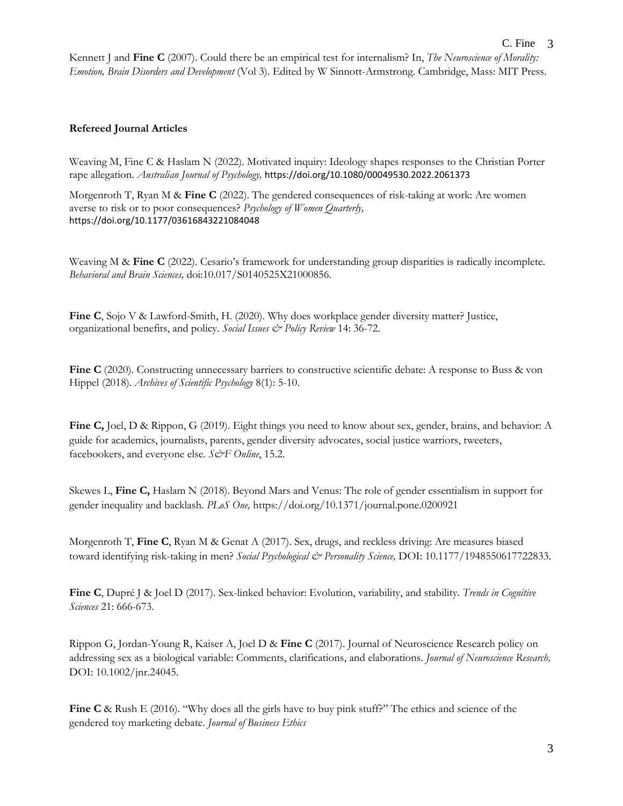Kennett J and **Fine C** (2007). Could there be an empirical test for internalism? In, *The Neuroscience of Morality: Emotion, Brain Disorders and Development* (Vol 3)*.* Edited by W Sinnott-Armstrong. Cambridge, Mass: MIT Press.

### **Refereed Journal Articles**

Weaving M, Fine C & Haslam N (2022). Motivated inquiry: Ideology shapes responses to the Christian Porter rape allegation. *Australian Journal of Psychology,* <https://doi.org/10.1080/00049530.2022.2061373>

Morgenroth T, Ryan M & **Fine C** (2022). The gendered consequences of risk-taking at work: Are women averse to risk or to poor consequences? *Psychology of Women Quarterly,* <https://doi.org/10.1177/03616843221084048>

Weaving M & **Fine C** (2022). Cesario's framework for understanding group disparities is radically incomplete. *Behavioral and Brain Sciences,* doi:10.017/S0140525X21000856.

Fine C, Sojo V & Lawford-Smith, H. (2020). Why does workplace gender diversity matter? Justice, organizational benefits, and policy. *Social Issues & Policy Review* 14: 36-72.

**Fine C** (2020). Constructing unnecessary barriers to constructive scientific debate: A response to Buss & von Hippel (2018). *Archives of Scientific Psychology* 8(1): 5-10.

**Fine C,** Joel, D & Rippon, G (2019). Eight things you need to know about sex, gender, brains, and behavior: A guide for academics, journalists, parents, gender diversity advocates, social justice warriors, tweeters, facebookers, and everyone else. *S&F Online*, 15.2.

Skewes L, **Fine C,** Haslam N (2018). Beyond Mars and Venus: The role of gender essentialism in support for gender inequality and backlash. *PLoS One,* <https://doi.org/10.1371/journal.pone.0200921>

Morgenroth T, **Fine C**, Ryan M & Genat A (2017). Sex, drugs, and reckless driving: Are measures biased toward identifying risk-taking in men? *Social Psychological & Personality Science,* DOI: 10.1177/1948550617722833.

**Fine C**, Dupré J & Joel D (2017). Sex-linked behavior: Evolution, variability, and stability. *Trends in Cognitive Sciences* 21: 666-673.

Rippon G, Jordan-Young R, Kaiser A, Joel D & **Fine C** (2017). Journal of Neuroscience Research policy on addressing sex as a biological variable: Comments, clarifications, and elaborations. *Journal of Neuroscience Research,*  DOI: 10.1002/jnr.24045.

**Fine C** & Rush E (2016). "Why does all the girls have to buy pink stuff?" The ethics and science of the gendered toy marketing debate. *Journal of Business Ethics*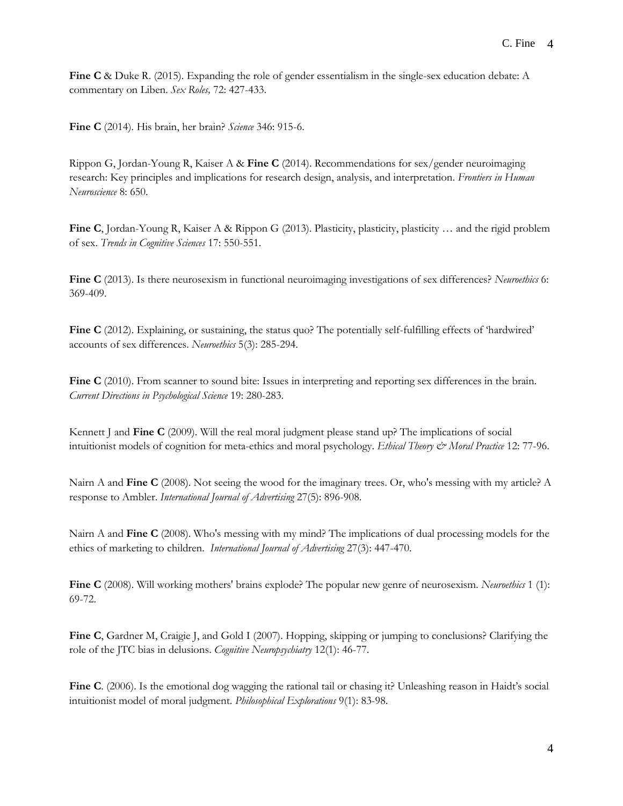**Fine C** & Duke R. (2015). Expanding the role of gender essentialism in the single-sex education debate: A commentary on Liben. *Sex Roles,* 72: 427-433.

**Fine C** (2014)*.* His brain, her brain? *Science* 346: 915-6.

Rippon G, Jordan-Young R, Kaiser A & **Fine C** (2014). Recommendations for sex/gender neuroimaging research: Key principles and implications for research design, analysis, and interpretation. *Frontiers in Human Neuroscience* 8: 650.

**Fine C**, Jordan-Young R, Kaiser A & Rippon G (2013). Plasticity, plasticity, plasticity … and the rigid problem of sex. *Trends in Cognitive Sciences* 17: 550-551.

**Fine C** (2013). Is there neurosexism in functional neuroimaging investigations of sex differences? *Neuroethics* 6: 369-409.

**Fine C** (2012). Explaining, or sustaining, the status quo? The potentially self-fulfilling effects of 'hardwired' accounts of sex differences. *Neuroethics* 5(3): 285-294.

**Fine C** (2010). From scanner to sound bite: Issues in interpreting and reporting sex differences in the brain. *Current Directions in Psychological Science* 19: 280-283.

Kennett J and **Fine C** (2009). Will the real moral judgment please stand up? The implications of social intuitionist models of cognition for meta-ethics and moral psychology. *Ethical Theory & Moral Practice* 12: 77-96.

Nairn A and **Fine C** (2008). Not seeing the wood for the imaginary trees. Or, who's messing with my article? A response to Ambler. *International Journal of Advertising* 27(5): 896-908.

Nairn A and **Fine C** (2008). Who's messing with my mind? The implications of dual processing models for the ethics of marketing to children. *International Journal of Advertising* 27(3): 447-470.

**Fine C** (2008). Will working mothers' brains explode? The popular new genre of neurosexism. *Neuroethics* 1 (1): 69-72.

**Fine C**, Gardner M, Craigie J, and Gold I (2007). Hopping, skipping or jumping to conclusions? Clarifying the role of the JTC bias in delusions. *Cognitive Neuropsychiatry* 12(1): 46-77.

**Fine C**. (2006). Is the emotional dog wagging the rational tail or chasing it? Unleashing reason in Haidt's social intuitionist model of moral judgment. *Philosophical Explorations* 9(1): 83-98.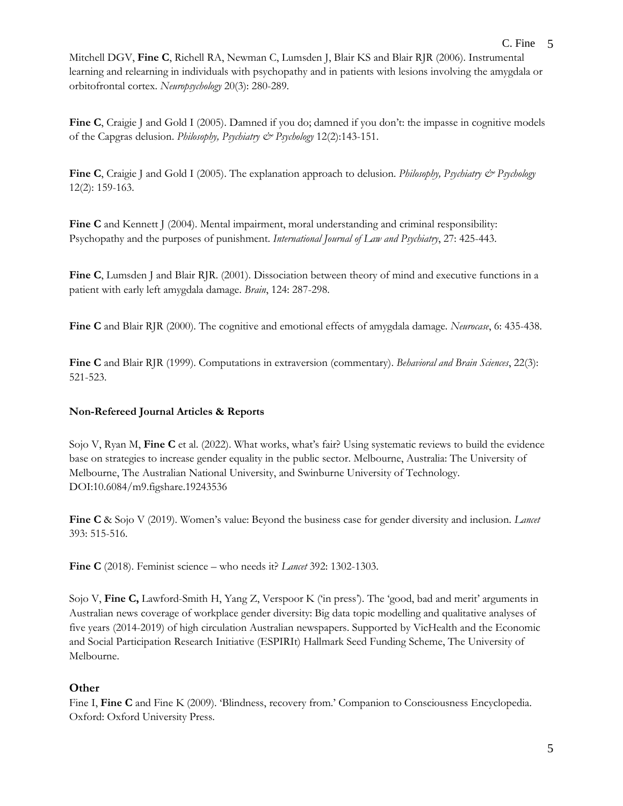Mitchell [DGV,](/auth:Mitchell,DGV) **Fine C**, Richell [RA,](/auth:Richell,RA) Newma[n C,](/auth:Newman,C) Lumsden [J,](/auth:Lumsden,J) Blair [KS](/auth:Blair,KS) and Blair [RJR](/auth:Blair,RJR) (2006). Instrumental learning and relearning in individuals with psychopathy and in patients with lesions involving the amygdala or orbitofrontal cortex. *Neuropsychology* 20(3): 280-289.

**Fine C**, Craigie J and Gold I (2005). Damned if you do; damned if you don't: the impasse in cognitive models of the Capgras delusion. *Philosophy, Psychiatry & Psychology* 12(2):143-151.

**Fine C**, Craigie J and Gold I (2005). The explanation approach to delusion. *Philosophy, Psychiatry & Psychology* 12(2): 159-163.

**Fine C** and Kennett J (2004). Mental impairment, moral understanding and criminal responsibility: Psychopathy and the purposes of punishment. *International Journal of Law and Psychiatry*, 27: 425-443.

**Fine C**, Lumsden J and Blair RJR. (2001). Dissociation between theory of mind and executive functions in a patient with early left amygdala damage. *Brain*, 124: 287-298.

**Fine C** and Blair RJR (2000). The cognitive and emotional effects of amygdala damage. *Neurocase*, 6: 435-438.

**Fine C** and Blair RJR (1999). Computations in extraversion (commentary). *Behavioral and Brain Sciences*, 22(3): 521-523.

# **Non-Refereed Journal Articles & Reports**

Sojo V, Ryan M, **Fine C** et al. (2022). What works, what's fair? Using systematic reviews to build the evidence base on strategies to increase gender equality in the public sector. Melbourne, Australia: The University of Melbourne, The Australian National University, and Swinburne University of Technology. DOI:10.6084/m9.figshare.19243536

**Fine C** & Sojo V (2019). Women's value: Beyond the business case for gender diversity and inclusion. *Lancet*  393: 515-516.

**Fine C** (2018). Feminist science – who needs it? *Lancet* 392: 1302-1303.

Sojo V, **Fine C,** Lawford-Smith H, Yang Z, Verspoor K ('in press'). The 'good, bad and merit' arguments in Australian news coverage of workplace gender diversity: Big data topic modelling and qualitative analyses of five years (2014-2019) of high circulation Australian newspapers. Supported by VicHealth and the Economic and Social Participation Research Initiative (ESPIRIt) Hallmark Seed Funding Scheme, The University of Melbourne.

# **Other**

Fine I, Fine C and Fine K (2009). 'Blindness, recovery from.' Companion to Consciousness Encyclopedia. Oxford: Oxford University Press.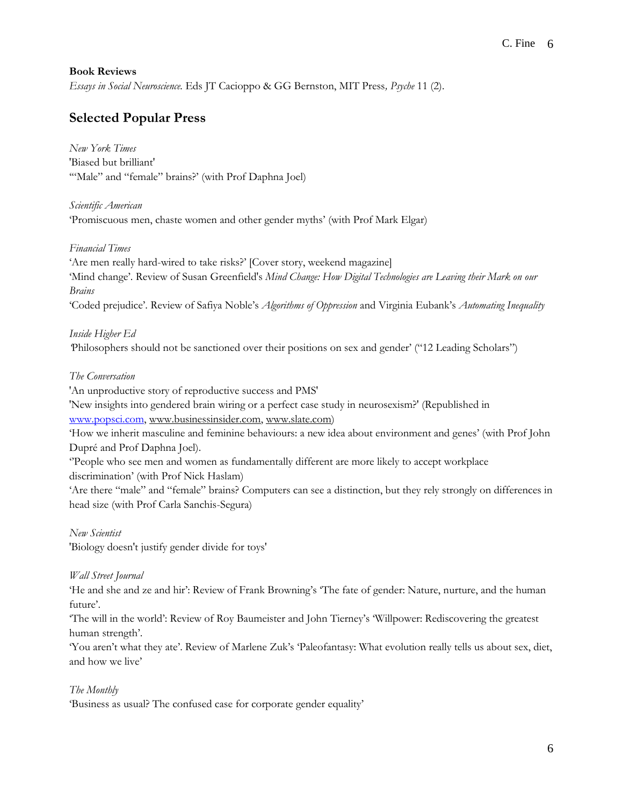#### **Book Reviews**

*Essays in Social Neuroscience.* Eds JT Cacioppo & GG Bernston, MIT Press*, Psyche* 11 (2).

# **Selected Popular Press**

*New York Times* 'Biased but brilliant' '"Male" and "female" brains?' (with Prof Daphna Joel)

*Scientific American* 'Promiscuous men, chaste women and other gender myths' (with Prof Mark Elgar)

*Financial Times*

'Are men really hard-wired to take risks?' [Cover story, weekend magazine] 'Mind change'. Review of Susan Greenfield's *Mind Change: How Digital Technologies are Leaving their Mark on our Brains* 'Coded prejudice'. Review of Safiya Noble's *Algorithms of Oppression* and Virginia Eubank's *Automating Inequality*

*Inside Higher Ed '*Philosophers should not be sanctioned over their positions on sex and gender' ("12 Leading Scholars"[\)](http://www.ft.com/intl/cms/s/2/d8216222-2170-11e4-a958-00144feabdc0.html?ftcamp=published_links/rss/companies_technology/feed//product#axzz3AgseqlS8)

#### *[The Conversation](http://www.ft.com/intl/cms/s/2/d8216222-2170-11e4-a958-00144feabdc0.html?ftcamp=published_links/rss/companies_technology/feed//product#axzz3AgseqlS8)*

'An unproductive story of reproductive success and PMS['](https://theconversation.com/an-unproductive-story-of-reproductive-success-and-pms-30511)

'New insights into gendered brain wiring or a perfect case study in neurosexism?' (Republished in [www.popsci.com,](http://www.popsci.com/) [www.businessinsider.com,](http://www.businessinsider.com/) [www.slate.com\)](http://www.slate.com/)

'How we inherit masculine and feminine behaviours: a new idea about environment and genes' (with Prof John Dupré and Prof Daphna Joel).

''People who see men and women as fundamentally different are more likely to accept workplace discrimination' (with Prof Nick Haslam)

'Are there "male" and "female" brains? Computers can see a distinction, but they rely strongly on differences in head size (with Prof Carla Sanchis-Segura)

*New Scientist*

['Biology doesn't justify gender divide for toys'](http://www.newscientist.com/article/dn25306-biology-doesnt-justify-gender-divide-for-toys.html?page=2#.U_E_iPmSwjA)

#### *Wall Street Journal*

'He and she and ze and hir': Review of Frank Browning's 'The fate of gender: Nature, nurture, and the human future'.

'The will in the world': Review of Roy Baumeister and John Tierney's 'Willpower: Rediscovering the greatest human strength'.

'You aren't what they ate'. Review of Marlene Zuk's 'Paleofantasy: What evolution really tells us about sex, diet, and how we live'

### *[The Monthly](http://www.newscientist.com/article/dn25306-biology-doesnt-justify-gender-divide-for-toys.html?page=2#.U_E_iPmSwjA)*

'Business as usual? The confused case for corporate gender equality'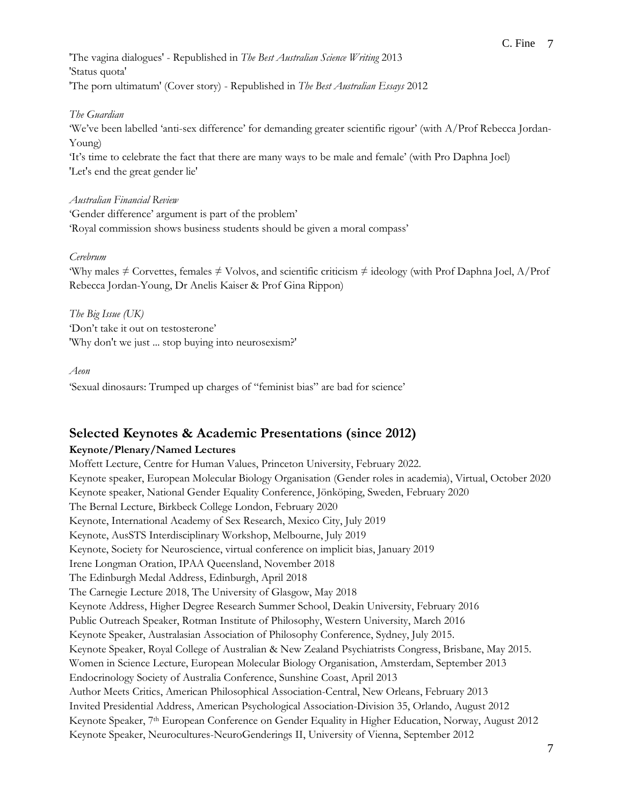'The vagina dialogues' - Republished in *[The Best Australian Science Writing](http://www.themonthly.com.au/do-women-really-want-less-sex-men-vagina-dialogues-cordelia-fine-6763)* 2013 'Status quota' 'The porn ultimatum' (Cover story) - Republished in *The Best Australian Essays* 2012

### *The Guardian*

'We've been labelled 'anti-sex difference' for demanding greater scientific rigour' (with A/Prof Rebecca Jordan-Young)

'It's time to celebrate the fact that there are many ways to be male and female' (with Pro Daphna Joel) 'Let's end the great gender lie'

### *Australian Financial Review*

'Gender difference' argument is part of the problem' 'Royal commission shows business students should be given a moral compass'

### *Cerebrum*

'Why males ≠ Corvettes, females ≠ Volvos, and scientific criticism ≠ ideology (with Prof Daphna Joel, A/Prof Rebecca Jordan-Young, Dr Anelis Kaiser & Prof Gina Rippon)

*The Big Issue (UK)* 'Don't take it out on testosterone' 'Why don't we just ... stop buying into neurosexism?'

#### *Aeon*

'Sexual dinosaurs: Trumped up charges of "feminist bias" are bad for science'

# **Selected Keynotes & Academic Presentations (since 2012)**

# **Keynote/Plenary/Named Lectures**

Moffett Lecture, Centre for Human Values, Princeton University, February 2022. Keynote speaker, European Molecular Biology Organisation (Gender roles in academia), Virtual, October 2020 Keynote speaker, National Gender Equality Conference, Jönköping, Sweden, February 2020 The Bernal Lecture, Birkbeck College London, February 2020 Keynote, International Academy of Sex Research, Mexico City, July 2019 Keynote, AusSTS Interdisciplinary Workshop, Melbourne, July 2019 Keynote, Society for Neuroscience, virtual conference on implicit bias, January 2019 Irene Longman Oration, IPAA Queensland, November 2018 The Edinburgh Medal Address, Edinburgh, April 2018 The Carnegie Lecture 2018, The University of Glasgow, May 2018 Keynote Address, Higher Degree Research Summer School, Deakin University, February 2016 Public Outreach Speaker, Rotman Institute of Philosophy, Western University, March 2016 Keynote Speaker, Australasian Association of Philosophy Conference, Sydney, July 2015. Keynote Speaker, Royal College of Australian & New Zealand Psychiatrists Congress, Brisbane, May 2015. Women in Science Lecture, European Molecular Biology Organisation, Amsterdam, September 2013 Endocrinology Society of Australia Conference, Sunshine Coast, April 2013 Author Meets Critics, American Philosophical Association-Central, New Orleans, February 2013 Invited Presidential Address, American Psychological Association-Division 35, Orlando, August 2012 Keynote Speaker, 7th European Conference on Gender Equality in Higher Education, Norway, August 2012 Keynote Speaker, Neurocultures-NeuroGenderings II, University of Vienna, September 2012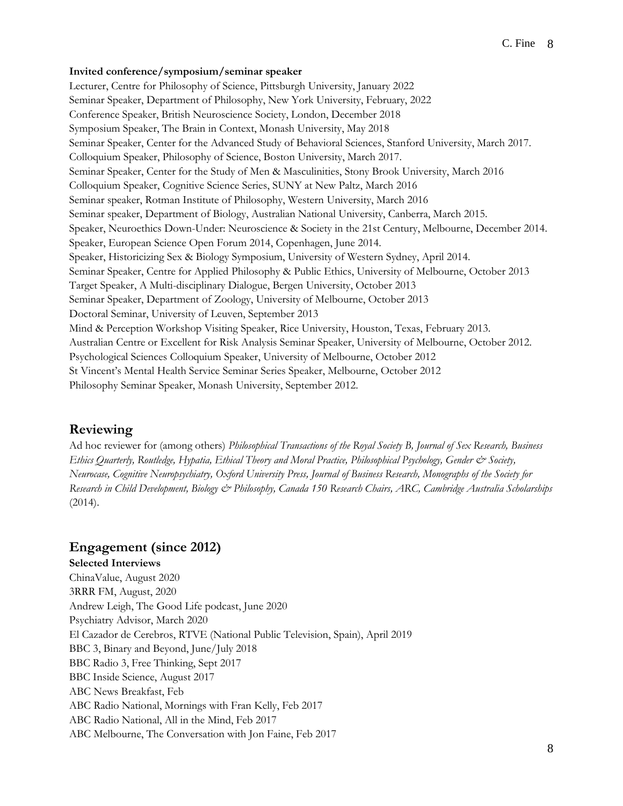#### **Invited conference/symposium/seminar speaker**

Lecturer, Centre for Philosophy of Science, Pittsburgh University, January 2022 Seminar Speaker, Department of Philosophy, New York University, February, 2022 Conference Speaker, British Neuroscience Society, London, December 2018 Symposium Speaker, The Brain in Context, Monash University, May 2018 Seminar Speaker, Center for the Advanced Study of Behavioral Sciences, Stanford University, March 2017. Colloquium Speaker, Philosophy of Science, Boston University, March 2017. Seminar Speaker, Center for the Study of Men & Masculinities, Stony Brook University, March 2016 Colloquium Speaker, Cognitive Science Series, SUNY at New Paltz, March 2016 Seminar speaker, Rotman Institute of Philosophy, Western University, March 2016 Seminar speaker, Department of Biology, Australian National University, Canberra, March 2015. Speaker, Neuroethics Down-Under: Neuroscience & Society in the 21st Century, Melbourne, December 2014. Speaker, European Science Open Forum 2014, Copenhagen, June 2014. Speaker, Historicizing Sex & Biology Symposium, University of Western Sydney, April 2014. Seminar Speaker, Centre for Applied Philosophy & Public Ethics, University of Melbourne, October 2013 Target Speaker, A Multi-disciplinary Dialogue, Bergen University, October 2013 Seminar Speaker, Department of Zoology, University of Melbourne, October 2013 Doctoral Seminar, University of Leuven, September 2013 Mind & Perception Workshop Visiting Speaker, Rice University, Houston, Texas, February 2013. Australian Centre or Excellent for Risk Analysis Seminar Speaker, University of Melbourne, October 2012. Psychological Sciences Colloquium Speaker, University of Melbourne, October 2012 St Vincent's Mental Health Service Seminar Series Speaker, Melbourne, October 2012 Philosophy Seminar Speaker, Monash University, September 2012.

#### **Reviewing**

Ad hoc reviewer for (among others) *Philosophical Transactions of the Royal Society B, Journal of Sex Research, Business Ethics Quarterly, Routledge, Hypatia, Ethical Theory and Moral Practice, Philosophical Psychology, Gender & Society, Neurocase, Cognitive Neuropsychiatry, Oxford University Press, Journal of Business Research, Monographs of the Society for Research in Child Development, Biology & Philosophy, Canada 150 Research Chairs, ARC, Cambridge Australia Scholarships*  (2014).

### **Engagement (since 2012)**

**Selected Interviews**  ChinaValue, August 2020 3RRR FM, August, 2020 Andrew Leigh, The Good Life podcast, June 2020 Psychiatry Advisor, March 2020 El Cazador de Cerebros, RTVE (National Public Television, Spain), April 2019 BBC 3, Binary and Beyond, June/July 2018 BBC Radio 3, Free Thinking, Sept 2017 BBC Inside Science, August 2017 ABC News Breakfast, Feb ABC Radio National, Mornings with Fran Kelly, Feb 2017 ABC Radio National, All in the Mind, Feb 2017 ABC Melbourne, The Conversation with Jon Faine, Feb 2017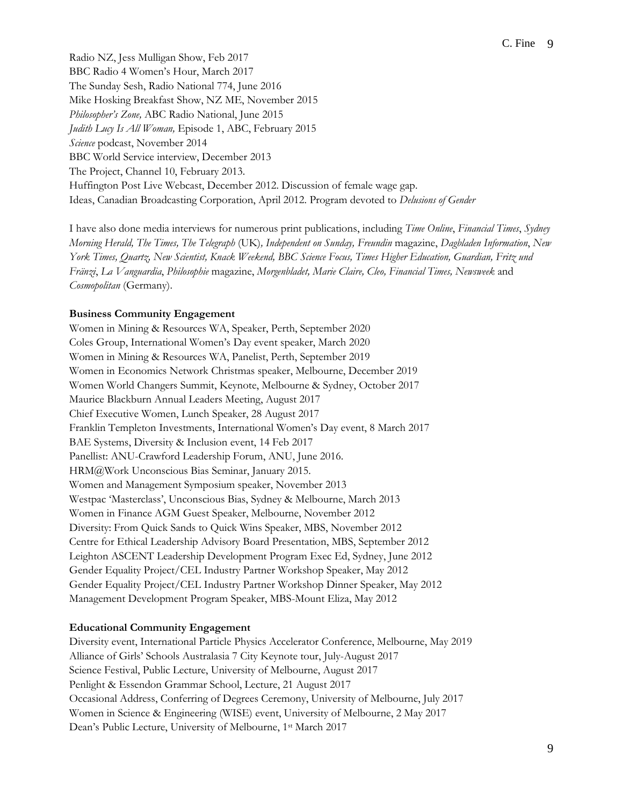Radio NZ, Jess Mulligan Show, Feb 2017 BBC Radio 4 Women's Hour, March 2017 The Sunday Sesh, Radio National 774, June 2016 Mike Hosking Breakfast Show, NZ ME, November 2015 *Philosopher's Zone,* ABC Radio National, June 2015 *Judith Lucy Is All Woman,* Episode 1, ABC, February 2015 *Science* podcast, November 2014 BBC World Service interview, December 2013 The Project, Channel 10, February 2013. Huffington Post Live Webcast, December 2012. Discussion of female wage gap. Ideas, Canadian Broadcasting Corporation, April 2012. Program devoted to *Delusions of Gender*

I have also done media interviews for numerous print publications, including *Time Online*, *Financial Times*, *Sydney Morning Herald, The Times, The Telegraph* (UK)*, Independent on Sunday, Freundin* magazine, *Dagbladen Information*, *New York Times, Quartz, New Scientist, Knack Weekend, BBC Science Focus, Times Higher Education, Guardian, Fritz und Fränzi*, *La Vanguardia*, *Philosophie* magazine, *Morgenbladet, Marie Claire, Cleo, Financial Times, Newsweek* and *Cosmopolitan* (Germany).

#### **Business Community Engagement**

Women in Mining & Resources WA, Speaker, Perth, September 2020 Coles Group, International Women's Day event speaker, March 2020 Women in Mining & Resources WA, Panelist, Perth, September 2019 Women in Economics Network Christmas speaker, Melbourne, December 2019 Women World Changers Summit, Keynote, Melbourne & Sydney, October 2017 Maurice Blackburn Annual Leaders Meeting, August 2017 Chief Executive Women, Lunch Speaker, 28 August 2017 Franklin Templeton Investments, International Women's Day event, 8 March 2017 BAE Systems, Diversity & Inclusion event, 14 Feb 2017 Panellist: ANU-Crawford Leadership Forum, ANU, June 2016. HRM@Work Unconscious Bias Seminar, January 2015. Women and Management Symposium speaker, November 2013 Westpac 'Masterclass', Unconscious Bias, Sydney & Melbourne, March 2013 Women in Finance AGM Guest Speaker, Melbourne, November 2012 Diversity: From Quick Sands to Quick Wins Speaker, MBS, November 2012 Centre for Ethical Leadership Advisory Board Presentation, MBS, September 2012 Leighton ASCENT Leadership Development Program Exec Ed, Sydney, June 2012 Gender Equality Project/CEL Industry Partner Workshop Speaker, May 2012 Gender Equality Project/CEL Industry Partner Workshop Dinner Speaker, May 2012 Management Development Program Speaker, MBS-Mount Eliza, May 2012

#### **Educational Community Engagement**

Diversity event, International Particle Physics Accelerator Conference, Melbourne, May 2019 Alliance of Girls' Schools Australasia 7 City Keynote tour, July-August 2017 Science Festival, Public Lecture, University of Melbourne, August 2017 Penlight & Essendon Grammar School, Lecture, 21 August 2017 Occasional Address, Conferring of Degrees Ceremony, University of Melbourne, July 2017 Women in Science & Engineering (WISE) event, University of Melbourne, 2 May 2017 Dean's Public Lecture, University of Melbourne, 1st March 2017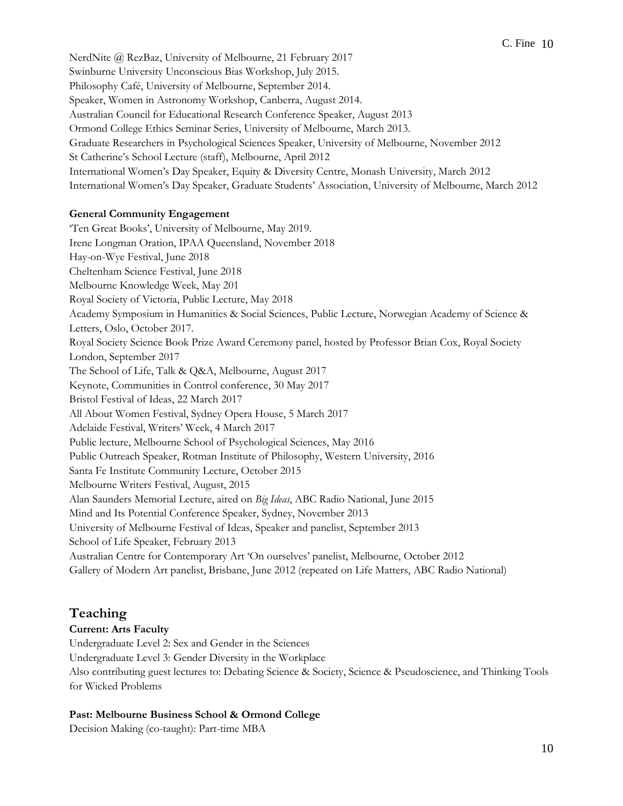NerdNite @ RezBaz, University of Melbourne, 21 February 2017 Swinburne University Unconscious Bias Workshop, July 2015. Philosophy Café, University of Melbourne, September 2014. Speaker, Women in Astronomy Workshop, Canberra, August 2014. Australian Council for Educational Research Conference Speaker, August 2013 Ormond College Ethics Seminar Series, University of Melbourne, March 2013. Graduate Researchers in Psychological Sciences Speaker, University of Melbourne, November 2012 St Catherine's School Lecture (staff), Melbourne, April 2012 International Women's Day Speaker, Equity & Diversity Centre, Monash University, March 2012 International Women's Day Speaker, Graduate Students' Association, University of Melbourne, March 2012

#### **General Community Engagement**

'Ten Great Books', University of Melbourne, May 2019. Irene Longman Oration, IPAA Queensland, November 2018 Hay-on-Wye Festival, June 2018 Cheltenham Science Festival, June 2018 Melbourne Knowledge Week, May 201 Royal Society of Victoria, Public Lecture, May 2018 Academy Symposium in Humanities & Social Sciences, Public Lecture, Norwegian Academy of Science & Letters, Oslo, October 2017. Royal Society Science Book Prize Award Ceremony panel, hosted by Professor Brian Cox, Royal Society London, September 2017 The School of Life, Talk & Q&A, Melbourne, August 2017 Keynote, Communities in Control conference, 30 May 2017 Bristol Festival of Ideas, 22 March 2017 All About Women Festival, Sydney Opera House, 5 March 2017 Adelaide Festival, Writers' Week, 4 March 2017 Public lecture, Melbourne School of Psychological Sciences, May 2016 Public Outreach Speaker, Rotman Institute of Philosophy, Western University, 2016 Santa Fe Institute Community Lecture, October 2015 Melbourne Writers Festival, August, 2015 Alan Saunders Memorial Lecture, aired on *Big Ideas*, ABC Radio National, June 2015 Mind and Its Potential Conference Speaker, Sydney, November 2013 University of Melbourne Festival of Ideas, Speaker and panelist, September 2013 School of Life Speaker, February 2013 Australian Centre for Contemporary Art 'On ourselves' panelist, Melbourne, October 2012 Gallery of Modern Art panelist, Brisbane, June 2012 (repeated on Life Matters, ABC Radio National)

# **Teaching**

#### **Current: Arts Faculty**

Undergraduate Level 2: Sex and Gender in the Sciences Undergraduate Level 3: Gender Diversity in the Workplace Also contributing guest lectures to: Debating Science & Society, Science & Pseudoscience, and Thinking Tools for Wicked Problems

#### **Past: Melbourne Business School & Ormond College**

Decision Making (co-taught): Part-time MBA